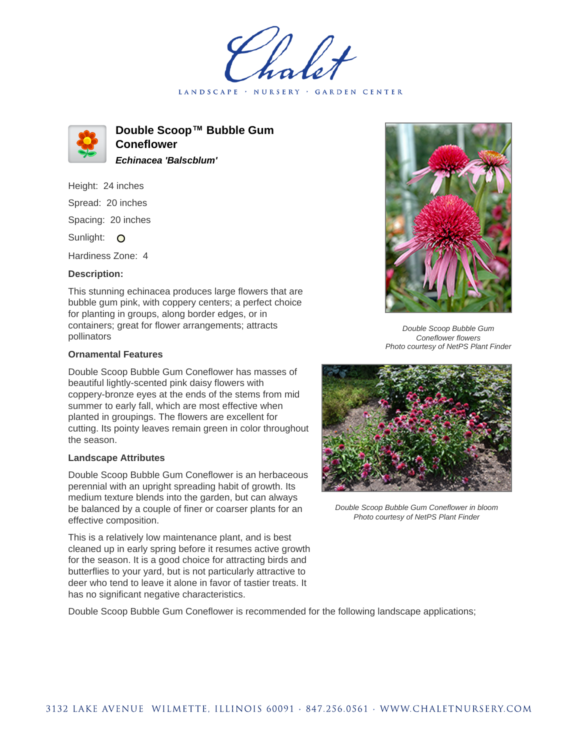LANDSCAPE · NURSERY GARDEN CENTER



**Double Scoop™ Bubble Gum Coneflower Echinacea 'Balscblum'**

Height: 24 inches Spread: 20 inches Spacing: 20 inches Sunlight: O

Hardiness Zone: 4

## **Description:**

This stunning echinacea produces large flowers that are bubble gum pink, with coppery centers; a perfect choice for planting in groups, along border edges, or in containers; great for flower arrangements; attracts pollinators

## **Ornamental Features**

Double Scoop Bubble Gum Coneflower has masses of beautiful lightly-scented pink daisy flowers with coppery-bronze eyes at the ends of the stems from mid summer to early fall, which are most effective when planted in groupings. The flowers are excellent for cutting. Its pointy leaves remain green in color throughout the season.

## **Landscape Attributes**

Double Scoop Bubble Gum Coneflower is an herbaceous perennial with an upright spreading habit of growth. Its medium texture blends into the garden, but can always be balanced by a couple of finer or coarser plants for an effective composition.

This is a relatively low maintenance plant, and is best cleaned up in early spring before it resumes active growth for the season. It is a good choice for attracting birds and butterflies to your yard, but is not particularly attractive to deer who tend to leave it alone in favor of tastier treats. It has no significant negative characteristics.



Double Scoop Bubble Gum Coneflower flowers Photo courtesy of NetPS Plant Finder



Double Scoop Bubble Gum Coneflower in bloom Photo courtesy of NetPS Plant Finder

Double Scoop Bubble Gum Coneflower is recommended for the following landscape applications;